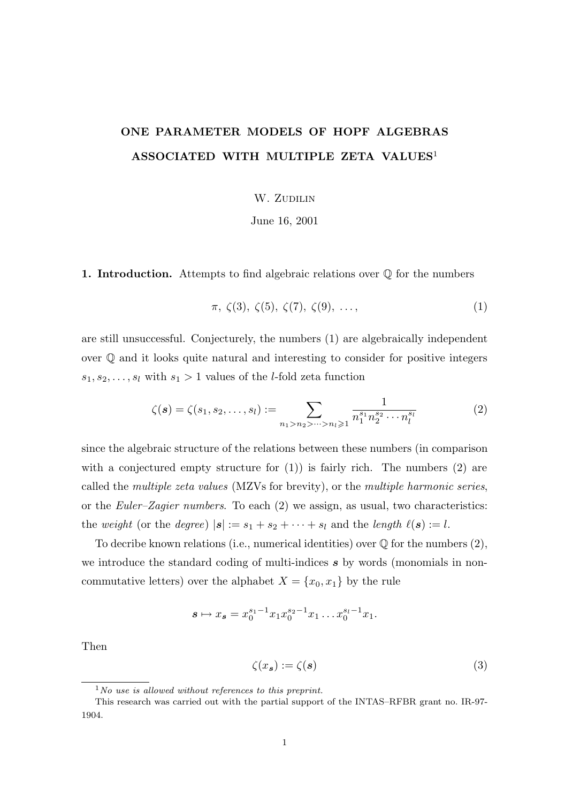## ONE PARAMETER MODELS OF HOPF ALGEBRAS ASSOCIATED WITH MULTIPLE ZETA VALUES<sup>1</sup>

W. ZUDILIN

June 16, 2001

1. Introduction. Attempts to find algebraic relations over  $\mathbb Q$  for the numbers

$$
\pi, \zeta(3), \zeta(5), \zeta(7), \zeta(9), \ldots,\tag{1}
$$

are still unsuccessful. Conjecturely, the numbers (1) are algebraically independent over Q and it looks quite natural and interesting to consider for positive integers  $s_1, s_2, \ldots, s_l$  with  $s_1 > 1$  values of the *l*-fold zeta function

$$
\zeta(s) = \zeta(s_1, s_2, \dots, s_l) := \sum_{n_1 > n_2 > \dots > n_l \geq 1} \frac{1}{n_1^{s_1} n_2^{s_2} \cdots n_l^{s_l}} \tag{2}
$$

since the algebraic structure of the relations between these numbers (in comparison with a conjectured empty structure for  $(1)$ ) is fairly rich. The numbers  $(2)$  are called the multiple zeta values (MZVs for brevity), or the multiple harmonic series, or the Euler–Zagier numbers. To each (2) we assign, as usual, two characteristics: the weight (or the degree)  $|s| := s_1 + s_2 + \cdots + s_l$  and the length  $\ell(s) := l$ .

To decribe known relations (i.e., numerical identities) over  $\mathbb Q$  for the numbers  $(2)$ , we introduce the standard coding of multi-indices s by words (monomials in noncommutative letters) over the alphabet  $X = \{x_0, x_1\}$  by the rule

$$
s \mapsto x_s = x_0^{s_1 - 1} x_1 x_0^{s_2 - 1} x_1 \dots x_0^{s_l - 1} x_1.
$$

Then

$$
\zeta(x_s) := \zeta(s) \tag{3}
$$

 $1$ No use is allowed without references to this preprint.

This research was carried out with the partial support of the INTAS–RFBR grant no. IR-97- 1904.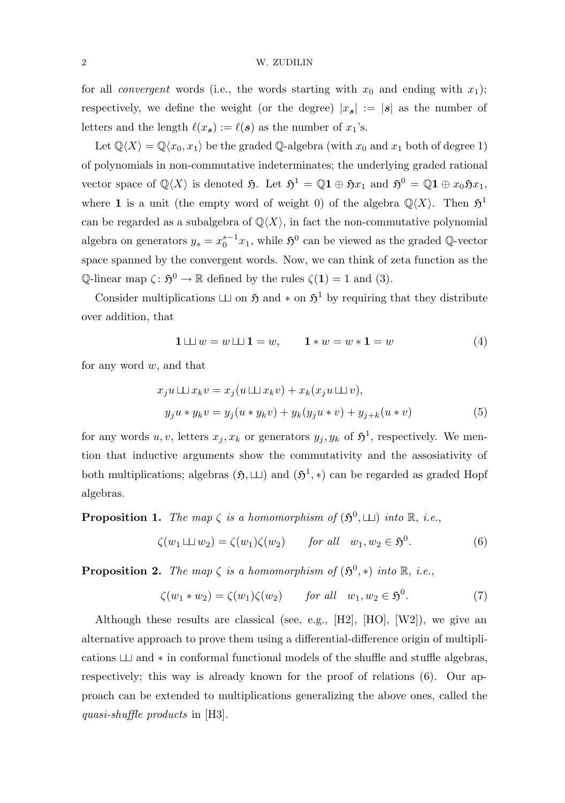## 2 W. ZUDILIN

for all *convergent* words (i.e., the words starting with  $x_0$  and ending with  $x_1$ ); respectively, we define the weight (or the degree)  $|x_s| := |s|$  as the number of letters and the length  $\ell(x_s) := \ell(s)$  as the number of  $x_1$ 's.

Let  $\mathbb{Q}\langle X\rangle = \mathbb{Q}\langle x_0, x_1\rangle$  be the graded  $\mathbb{Q}$ -algebra (with  $x_0$  and  $x_1$  both of degree 1) of polynomials in non-commutative indeterminates; the underlying graded rational vector space of  $\mathbb{Q}\langle X\rangle$  is denoted  $\mathfrak{H}$ . Let  $\mathfrak{H}^1 = \mathbb{Q}1 \oplus \mathfrak{H}x_1$  and  $\mathfrak{H}^0 = \mathbb{Q}1 \oplus x_0 \mathfrak{H}x_1$ , where 1 is a unit (the empty word of weight 0) of the algebra  $\mathbb{Q}\langle X\rangle$ . Then  $\mathfrak{H}^1$ can be regarded as a subalgebra of  $\mathbb{Q}\langle X\rangle$ , in fact the non-commutative polynomial algebra on generators  $y_s = x_0^{s-1}$  $S_0^{-1}x_1$ , while  $\mathfrak{H}^0$  can be viewed as the graded Q-vector space spanned by the convergent words. Now, we can think of zeta function as the Q-linear map  $\zeta: \mathfrak{H}^0 \to \mathbb{R}$  defined by the rules  $\zeta(1) = 1$  and (3).

Consider multiplications  $\Box$  on  $\mathfrak{H}$  and  $*$  on  $\mathfrak{H}^1$  by requiring that they distribute over addition, that

$$
1 \sqcup w = w \sqcup 1 = w, \qquad 1 * w = w * 1 = w \tag{4}
$$

for any word  $w$ , and that

$$
x_j u \sqcup \sqcup x_k v = x_j (u \sqcup \sqcup x_k v) + x_k (x_j u \sqcup \sqcup v),
$$
  
\n
$$
y_j u * y_k v = y_j (u * y_k v) + y_k (y_j u * v) + y_{j+k} (u * v)
$$
\n(5)

for any words  $u, v$ , letters  $x_j, x_k$  or generators  $y_j, y_k$  of  $\mathfrak{H}^1$ , respectively. We mention that inductive arguments show the commutativity and the assosiativity of both multiplications; algebras  $(\mathfrak{H}, \sqcup)$  and  $(\mathfrak{H}^1, *)$  can be regarded as graded Hopf algebras.

**Proposition 1.** The map  $\zeta$  is a homomorphism of  $(\mathfrak{H}^0, \sqcup)$  into  $\mathbb{R}$ , i.e.,

$$
\zeta(w_1 \sqcup \sqcup w_2) = \zeta(w_1)\zeta(w_2) \qquad \text{for all} \quad w_1, w_2 \in \mathfrak{H}^0. \tag{6}
$$

**Proposition 2.** The map  $\zeta$  is a homomorphism of  $(\mathfrak{H}^0, *)$  into  $\mathbb{R}, i.e.,$ 

$$
\zeta(w_1 * w_2) = \zeta(w_1)\zeta(w_2) \qquad \text{for all} \quad w_1, w_2 \in \mathfrak{H}^0. \tag{7}
$$

Although these results are classical (see, e.g., [H2], [HO], [W2]), we give an alternative approach to prove them using a differential-difference origin of multiplications  $\Box$  and  $*$  in conformal functional models of the shuffle and stuffle algebras, respectively; this way is already known for the proof of relations (6). Our approach can be extended to multiplications generalizing the above ones, called the quasi-shuffle products in [H3].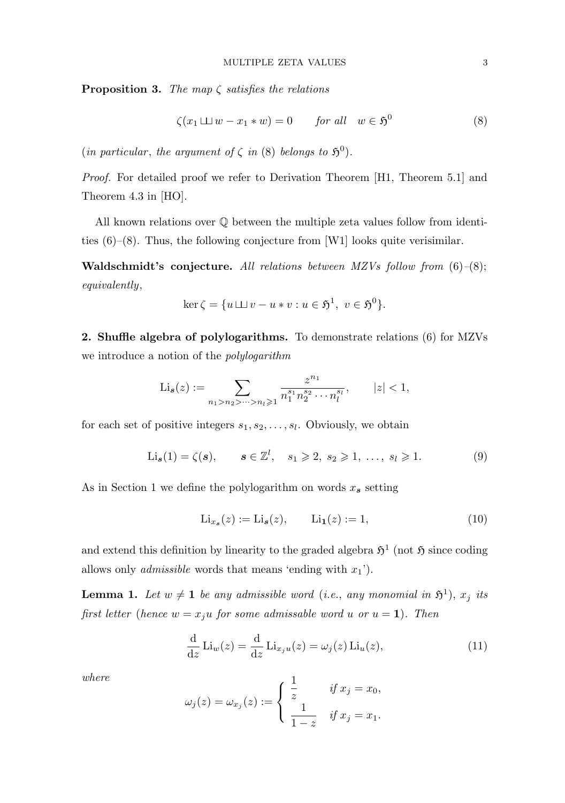**Proposition 3.** The map  $\zeta$  satisfies the relations

$$
\zeta(x_1 \sqcup \sqcup w - x_1 * w) = 0 \qquad \text{for all} \quad w \in \mathfrak{H}^0 \tag{8}
$$

(in particular, the argument of  $\zeta$  in (8) belongs to  $\mathfrak{H}^0$ ).

Proof. For detailed proof we refer to Derivation Theorem [H1, Theorem 5.1] and Theorem 4.3 in [HO].

All known relations over Q between the multiple zeta values follow from identities  $(6)-(8)$ . Thus, the following conjecture from [W1] looks quite verisimilar.

Waldschmidt's conjecture. All relations between MZVs follow from  $(6)-(8)$ ; equivalently,

$$
\ker \zeta = \{ u \sqcup v - u * v : u \in \mathfrak{H}^1, \ v \in \mathfrak{H}^0 \}.
$$

2. Shuffle algebra of polylogarithms. To demonstrate relations (6) for MZVs we introduce a notion of the polylogarithm

$$
\mathrm{Li}_{\mathbf{s}}(z) := \sum_{n_1 > n_2 > \dots > n_l \geqslant 1} \frac{z^{n_1}}{n_1^{s_1} n_2^{s_2} \cdots n_l^{s_l}}, \qquad |z| < 1,
$$

for each set of positive integers  $s_1, s_2, \ldots, s_l$ . Obviously, we obtain

$$
\text{Li}_{\mathbf{s}}(1) = \zeta(\mathbf{s}), \qquad \mathbf{s} \in \mathbb{Z}^l, \quad s_1 \geqslant 2, \ s_2 \geqslant 1, \ \ldots, \ s_l \geqslant 1. \tag{9}
$$

As in Section 1 we define the polylogarithm on words  $x_s$  setting

$$
\text{Li}_{x_s}(z) := \text{Li}_s(z), \qquad \text{Li}_1(z) := 1,\tag{10}
$$

and extend this definition by linearity to the graded algebra  $\mathfrak{H}^1$  (not  $\mathfrak{H}$  since coding allows only *admissible* words that means 'ending with  $x_1$ ').

**Lemma 1.** Let  $w \neq 1$  be any admissible word (i.e., any monomial in  $\mathfrak{H}^1$ ),  $x_j$  its first letter (hence  $w = x_ju$  for some admissable word u or  $u = 1$ ). Then

$$
\frac{\mathrm{d}}{\mathrm{d}z} \operatorname{Li}_w(z) = \frac{\mathrm{d}}{\mathrm{d}z} \operatorname{Li}_{x_j u}(z) = \omega_j(z) \operatorname{Li}_u(z),\tag{11}
$$

where

$$
\omega_j(z) = \omega_{x_j}(z) := \begin{cases} \frac{1}{z} & \text{if } x_j = x_0, \\ \frac{1}{1-z} & \text{if } x_j = x_1. \end{cases}
$$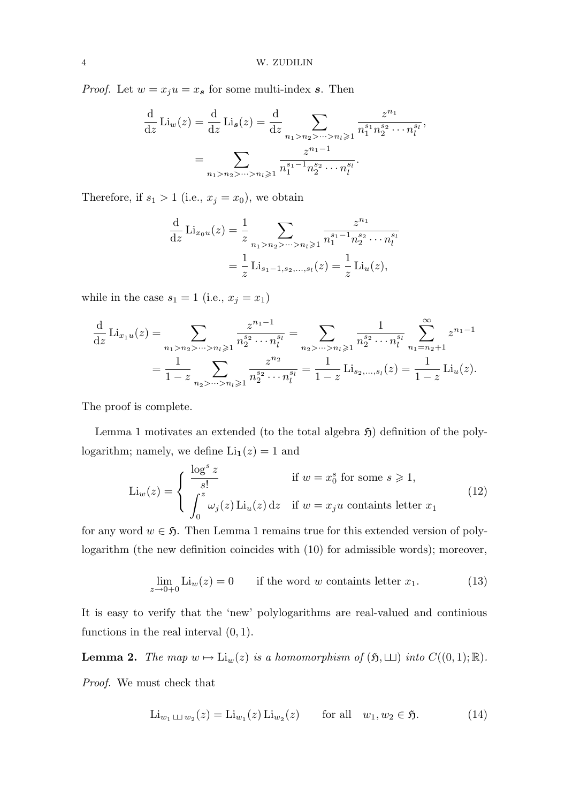*Proof.* Let  $w = x_j u = x_s$  for some multi-index s. Then

$$
\frac{d}{dz} Li_w(z) = \frac{d}{dz} Li_s(z) = \frac{d}{dz} \sum_{n_1 > n_2 > \dots > n_l \geq 1} \frac{z^{n_1}}{n_1^{s_1} n_2^{s_2} \cdots n_l^{s_l}},
$$

$$
= \sum_{n_1 > n_2 > \dots > n_l \geq 1} \frac{z^{n_1 - 1}}{n_1^{s_1 - 1} n_2^{s_2} \cdots n_l^{s_l}}.
$$

Therefore, if  $s_1 > 1$  (i.e.,  $x_j = x_0$ ), we obtain

$$
\frac{\mathrm{d}}{\mathrm{d}z} \mathrm{Li}_{x_0u}(z) = \frac{1}{z} \sum_{n_1 > n_2 > \dots > n_l \geqslant 1} \frac{z^{n_1}}{n_1^{s_1 - 1} n_2^{s_2} \cdots n_l^{s_l}}
$$
\n
$$
= \frac{1}{z} \mathrm{Li}_{s_1 - 1, s_2, \dots, s_l}(z) = \frac{1}{z} \mathrm{Li}_u(z),
$$

while in the case  $s_1 = 1$  (i.e.,  $x_j = x_1$ )

$$
\frac{d}{dz}\operatorname{Li}_{x_1u}(z) = \sum_{n_1 > n_2 > \dots > n_l \ge 1} \frac{z^{n_1 - 1}}{n_2^{s_2} \cdots n_l^{s_l}} = \sum_{n_2 > \dots > n_l \ge 1} \frac{1}{n_2^{s_2} \cdots n_l^{s_l}} \sum_{n_1 = n_2 + 1}^{\infty} z^{n_1 - 1}
$$

$$
= \frac{1}{1 - z} \sum_{n_2 > \dots > n_l \ge 1} \frac{z^{n_2}}{n_2^{s_2} \cdots n_l^{s_l}} = \frac{1}{1 - z} \operatorname{Li}_{s_2, \dots, s_l}(z) = \frac{1}{1 - z} \operatorname{Li}_u(z).
$$

The proof is complete.

Lemma 1 motivates an extended (to the total algebra  $\mathfrak{H}$ ) definition of the polylogarithm; namely, we define  $\text{Li}_1(z) = 1$  and

$$
\text{Li}_{w}(z) = \begin{cases} \frac{\log^{s} z}{s!} & \text{if } w = x_{0}^{s} \text{ for some } s \geq 1, \\ \int_{0}^{z} \omega_{j}(z) \text{Li}_{u}(z) dz & \text{if } w = x_{j}u \text{ contains letter } x_{1} \end{cases}
$$
(12)

for any word  $w \in \mathfrak{H}$ . Then Lemma 1 remains true for this extended version of polylogarithm (the new definition coincides with (10) for admissible words); moreover,

$$
\lim_{z \to 0+0} \text{Li}_w(z) = 0 \qquad \text{if the word } w \text{ contains letter } x_1. \tag{13}
$$

It is easy to verify that the 'new' polylogarithms are real-valued and continious functions in the real interval  $(0, 1)$ .

**Lemma 2.** The map  $w \mapsto \text{Li}_w(z)$  is a homomorphism of  $(\mathfrak{H}, \sqcup)$  into  $C((0, 1); \mathbb{R})$ .

Proof. We must check that

$$
\text{Li}_{w_1 \sqcup \sqcup w_2}(z) = \text{Li}_{w_1}(z) \text{Li}_{w_2}(z) \qquad \text{for all} \quad w_1, w_2 \in \mathfrak{H}. \tag{14}
$$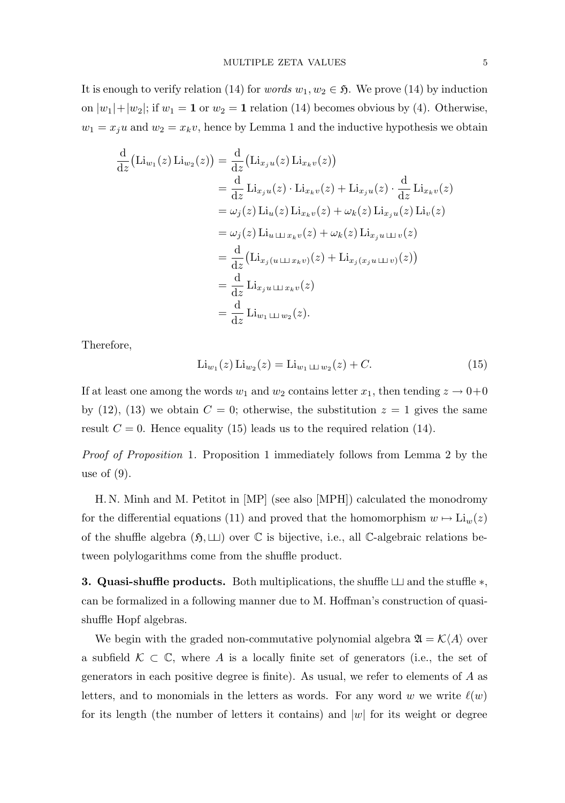It is enough to verify relation (14) for *words*  $w_1, w_2 \in \mathfrak{H}$ . We prove (14) by induction on  $|w_1|+|w_2|$ ; if  $w_1 = 1$  or  $w_2 = 1$  relation (14) becomes obvious by (4). Otherwise,  $w_1 = x_j u$  and  $w_2 = x_k v$ , hence by Lemma 1 and the inductive hypothesis we obtain

$$
\frac{d}{dz} (\text{Li}_{w_1}(z) \text{Li}_{w_2}(z)) = \frac{d}{dz} (\text{Li}_{x_j u}(z) \text{Li}_{x_k v}(z))
$$
\n
$$
= \frac{d}{dz} \text{Li}_{x_j u}(z) \cdot \text{Li}_{x_k v}(z) + \text{Li}_{x_j u}(z) \cdot \frac{d}{dz} \text{Li}_{x_k v}(z)
$$
\n
$$
= \omega_j(z) \text{Li}_u(z) \text{Li}_{x_k v}(z) + \omega_k(z) \text{Li}_{x_j u}(z) \text{Li}_v(z)
$$
\n
$$
= \omega_j(z) \text{Li}_{u \sqcup x_k v}(z) + \omega_k(z) \text{Li}_{x_j u \sqcup v}(z)
$$
\n
$$
= \frac{d}{dz} (\text{Li}_{x_j(u \sqcup x_k v)}(z) + \text{Li}_{x_j(x_j u \sqcup v)}(z))
$$
\n
$$
= \frac{d}{dz} \text{Li}_{x_j u \sqcup x_k v}(z)
$$
\n
$$
= \frac{d}{dz} \text{Li}_{w_1 \sqcup w_2}(z).
$$

Therefore,

$$
\text{Li}_{w_1}(z) \text{Li}_{w_2}(z) = \text{Li}_{w_1 \perp \perp w_2}(z) + C. \tag{15}
$$

If at least one among the words  $w_1$  and  $w_2$  contains letter  $x_1$ , then tending  $z \to 0+0$ by (12), (13) we obtain  $C = 0$ ; otherwise, the substitution  $z = 1$  gives the same result  $C = 0$ . Hence equality (15) leads us to the required relation (14).

Proof of Proposition 1. Proposition 1 immediately follows from Lemma 2 by the use of  $(9)$ .

H. N. Minh and M. Petitot in [MP] (see also [MPH]) calculated the monodromy for the differential equations (11) and proved that the homomorphism  $w \mapsto \text{Li}_w(z)$ of the shuffle algebra  $(\mathfrak{H},\sqcup)$  over  $\mathbb C$  is bijective, i.e., all C-algebraic relations between polylogarithms come from the shuffle product.

**3. Quasi-shuffle products.** Both multiplications, the shuffle  $\Box$  and the stuffle  $\ast$ , can be formalized in a following manner due to M. Hoffman's construction of quasishuffle Hopf algebras.

We begin with the graded non-commutative polynomial algebra  $\mathfrak{A} = \mathcal{K}(A)$  over a subfield  $\mathcal{K} \subset \mathbb{C}$ , where A is a locally finite set of generators (i.e., the set of generators in each positive degree is finite). As usual, we refer to elements of A as letters, and to monomials in the letters as words. For any word w we write  $\ell(w)$ for its length (the number of letters it contains) and  $|w|$  for its weight or degree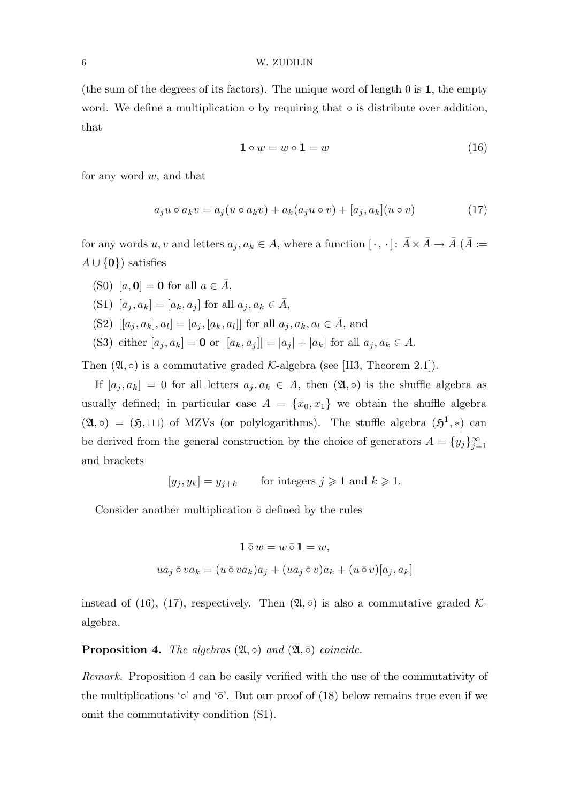## 6 W. ZUDILIN

(the sum of the degrees of its factors). The unique word of length 0 is 1, the empty word. We define a multiplication  $\circ$  by requiring that  $\circ$  is distribute over addition, that

$$
1 \circ w = w \circ 1 = w \tag{16}
$$

for any word  $w$ , and that

$$
a_j u \circ a_k v = a_j (u \circ a_k v) + a_k (a_j u \circ v) + [a_j, a_k](u \circ v)
$$
\n
$$
(17)
$$

for any words  $u, v$  and letters  $a_j, a_k \in A$ , where a function  $[\,\cdot\,,\,\cdot\,]\colon \bar{A}\times \bar{A}\to \bar{A}$   $(\bar{A}:=\,$  $A \cup \{0\}$  satisfies

(S0) [a,  $\mathbf{0}$ ] = 0 for all  $a \in \overline{A}$ ,

(S1) 
$$
[a_j, a_k] = [a_k, a_j]
$$
 for all  $a_j, a_k \in \overline{A}$ ,

- (S2)  $[[a_j, a_k], a_l] = [a_j, [a_k, a_l]]$  for all  $a_j, a_k, a_l \in \overline{A}$ , and
- (S3) either  $[a_j, a_k] = \mathbf{0}$  or  $|[a_k, a_j]| = |a_j| + |a_k|$  for all  $a_j, a_k \in A$ .

Then  $(\mathfrak{A}, \circ)$  is a commutative graded K-algebra (see [H3, Theorem 2.1]).

If  $[a_j, a_k] = 0$  for all letters  $a_j, a_k \in A$ , then  $(\mathfrak{A}, \circ)$  is the shuffle algebra as usually defined; in particular case  $A = \{x_0, x_1\}$  we obtain the shuffle algebra  $(\mathfrak{A}, \circ) = (\mathfrak{H}, \sqcup)$  of MZVs (or polylogarithms). The stuffle algebra  $(\mathfrak{H}^1, *)$  can be derived from the general construction by the choice of generators  $A = \{y_j\}_{j=1}^{\infty}$  $j=1$ and brackets

 $[y_i, y_k] = y_{i+k}$  for integers  $j \ge 1$  and  $k \ge 1$ .

Consider another multiplication  $\bar{\circ}$  defined by the rules

$$
\mathbf{1} \,\overline{\circ}\, w = w \,\overline{\circ}\, \mathbf{1} = w,
$$
  

$$
ua_j \,\overline{\circ}\, va_k = (u \,\overline{\circ}\, va_k)a_j + (ua_j \,\overline{\circ}\, v)a_k + (u \,\overline{\circ}\, v)[a_j, a_k]
$$

instead of (16), (17), respectively. Then  $(\mathfrak{A}, \overline{\circ})$  is also a commutative graded Kalgebra.

**Proposition 4.** The algebras  $(\mathfrak{A}, \circ)$  and  $(\mathfrak{A}, \circ)$  coincide.

Remark. Proposition 4 can be easily verified with the use of the commutativity of the multiplications '∘' and ' $\bar{\circ}$ '. But our proof of (18) below remains true even if we omit the commutativity condition (S1).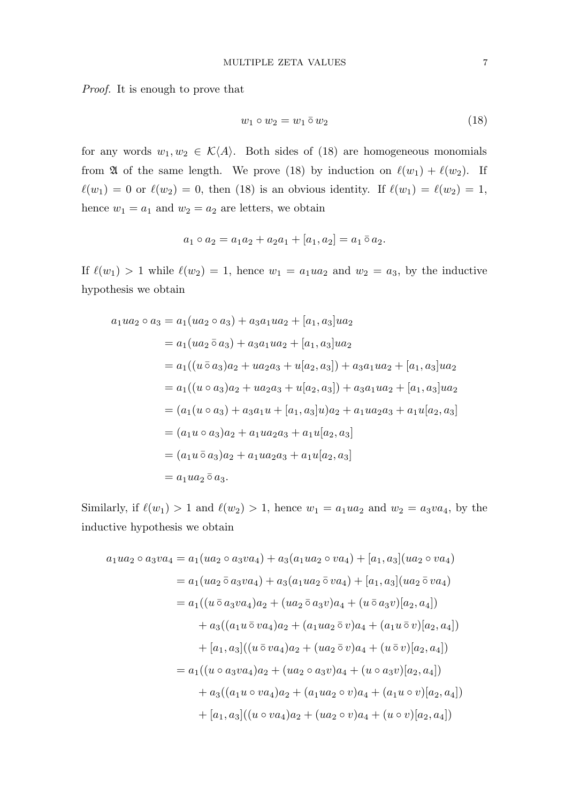Proof. It is enough to prove that

$$
w_1 \circ w_2 = w_1 \bar{\circ} w_2 \tag{18}
$$

for any words  $w_1, w_2 \in \mathcal{K}(A)$ . Both sides of (18) are homogeneous monomials from  $\mathfrak A$  of the same length. We prove (18) by induction on  $\ell(w_1) + \ell(w_2)$ . If  $\ell(w_1) = 0$  or  $\ell(w_2) = 0$ , then (18) is an obvious identity. If  $\ell(w_1) = \ell(w_2) = 1$ , hence  $w_1 = a_1$  and  $w_2 = a_2$  are letters, we obtain

$$
a_1 \circ a_2 = a_1 a_2 + a_2 a_1 + [a_1, a_2] = a_1 \overline{\circ} a_2.
$$

If  $\ell(w_1) > 1$  while  $\ell(w_2) = 1$ , hence  $w_1 = a_1wa_2$  and  $w_2 = a_3$ , by the inductive hypothesis we obtain

$$
a_1ua_2 \circ a_3 = a_1(ua_2 \circ a_3) + a_3a_1ua_2 + [a_1, a_3]ua_2
$$
  
\n
$$
= a_1(ua_2 \bar{o} a_3) + a_3a_1ua_2 + [a_1, a_3]ua_2
$$
  
\n
$$
= a_1((u \bar{o} a_3)a_2 + ua_2a_3 + u[a_2, a_3]) + a_3a_1ua_2 + [a_1, a_3]ua_2
$$
  
\n
$$
= a_1((u \circ a_3)a_2 + ua_2a_3 + u[a_2, a_3]) + a_3a_1ua_2 + [a_1, a_3]ua_2
$$
  
\n
$$
= (a_1(u \circ a_3) + a_3a_1u + [a_1, a_3]u)a_2 + a_1ua_2a_3 + a_1u[a_2, a_3]
$$
  
\n
$$
= (a_1u \circ a_3)a_2 + a_1ua_2a_3 + a_1u[a_2, a_3]
$$
  
\n
$$
= (a_1u \bar{o} a_3)a_2 + a_1ua_2a_3 + a_1u[a_2, a_3]
$$
  
\n
$$
= a_1ua_2 \bar{o} a_3.
$$

Similarly, if  $\ell(w_1) > 1$  and  $\ell(w_2) > 1$ , hence  $w_1 = a_1 u a_2$  and  $w_2 = a_3 v a_4$ , by the inductive hypothesis we obtain

$$
a_1ua_2 \circ a_3va_4 = a_1(ua_2 \circ a_3va_4) + a_3(a_1ua_2 \circ va_4) + [a_1, a_3](ua_2 \circ va_4)
$$
  
\n
$$
= a_1(ua_2 \bar{a}_3va_4) + a_3(a_1ua_2 \bar{a}_3va_4) + [a_1, a_3](ua_2 \bar{a}_3va_4)
$$
  
\n
$$
= a_1((u \bar{a}_3va_4)a_2 + (ua_2 \bar{a}_3v)a_4 + (u \bar{a}_3v)[a_2, a_4])
$$
  
\n
$$
+ a_3((a_1u \bar{a}_3va_4)a_2 + (a_1ua_2 \bar{a}_3v)a_4 + (a_1u \bar{a}_3v)[a_2, a_4])
$$
  
\n
$$
+ [a_1, a_3]((u \bar{a}_3va_4)a_2 + (ua_2 \bar{a}_3v)a_4 + (u \bar{a}_3v)[a_2, a_4])
$$
  
\n
$$
+ a_1((u \bar{a}_3va_4)a_2 + (ua_2 \bar{a}_3v)a_4 + (u \bar{a}_3v)[a_2, a_4])
$$
  
\n
$$
+ a_3((a_1u \bar{a}_3a_2 + (a_1ua_2 \bar{a}_3v)a_4 + (a_1u \bar{a}_3v)[a_2, a_4])
$$
  
\n
$$
+ [a_1, a_3]((u \bar{a}_3a_4)a_2 + (a_2 \bar{a}_3v)a_4 + (a_1u \bar{a}_3v)[a_2, a_4])
$$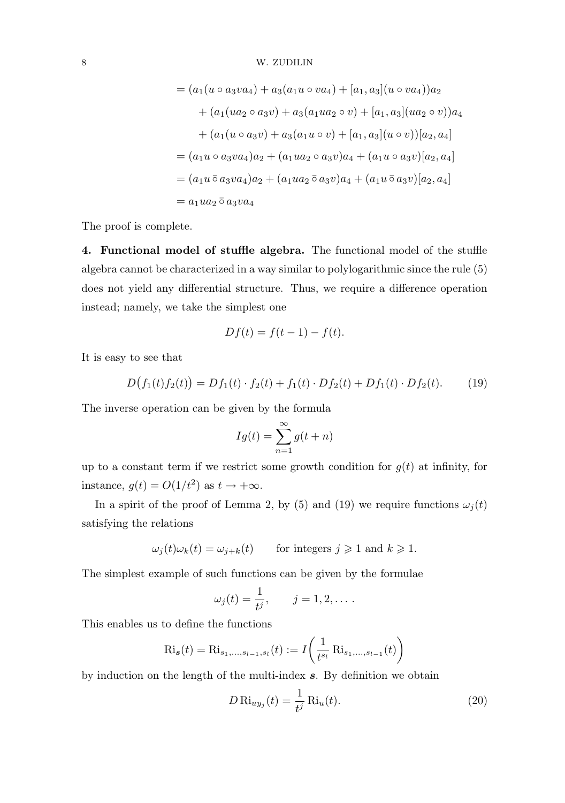$$
= (a_1(u \circ a_3 v a_4) + a_3(a_1 u \circ v a_4) + [a_1, a_3](u \circ v a_4))a_2
$$
  
+ 
$$
(a_1(u a_2 \circ a_3 v) + a_3(a_1 u a_2 \circ v) + [a_1, a_3](u a_2 \circ v))a_4
$$
  
+ 
$$
(a_1(u \circ a_3 v) + a_3(a_1 u \circ v) + [a_1, a_3](u \circ v))[a_2, a_4]
$$
  
= 
$$
(a_1 u \circ a_3 v a_4)a_2 + (a_1 u a_2 \circ a_3 v)a_4 + (a_1 u \circ a_3 v)[a_2, a_4]
$$
  
= 
$$
(a_1 u \bar{o} a_3 v a_4)a_2 + (a_1 u a_2 \bar{o} a_3 v)a_4 + (a_1 u \bar{o} a_3 v)[a_2, a_4]
$$
  
= 
$$
a_1 u a_2 \bar{o} a_3 v a_4
$$

The proof is complete.

4. Functional model of stuffle algebra. The functional model of the stuffle algebra cannot be characterized in a way similar to polylogarithmic since the rule (5) does not yield any differential structure. Thus, we require a difference operation instead; namely, we take the simplest one

$$
Df(t) = f(t-1) - f(t).
$$

It is easy to see that

$$
D(f_1(t)f_2(t)) = Df_1(t) \cdot f_2(t) + f_1(t) \cdot Df_2(t) + Df_1(t) \cdot Df_2(t).
$$
 (19)

The inverse operation can be given by the formula

$$
Ig(t) = \sum_{n=1}^{\infty} g(t+n)
$$

up to a constant term if we restrict some growth condition for  $g(t)$  at infinity, for instance,  $g(t) = O(1/t^2)$  as  $t \to +\infty$ .

In a spirit of the proof of Lemma 2, by (5) and (19) we require functions  $\omega_i(t)$ satisfying the relations

$$
\omega_j(t)\omega_k(t) = \omega_{j+k}(t)
$$
 for integers  $j \ge 1$  and  $k \ge 1$ .

The simplest example of such functions can be given by the formulae

$$
\omega_j(t) = \frac{1}{t^j}, \qquad j = 1, 2, \dots.
$$

This enables us to define the functions

$$
\text{Ri}_{\mathbf{s}}(t) = \text{Ri}_{s_1,\dots,s_{l-1},s_l}(t) := I\left(\frac{1}{t^{s_l}} \text{Ri}_{s_1,\dots,s_{l-1}}(t)\right)
$$

by induction on the length of the multi-index s. By definition we obtain

$$
D \operatorname{Ri}_{uy_j}(t) = \frac{1}{t^j} \operatorname{Ri}_u(t).
$$
\n(20)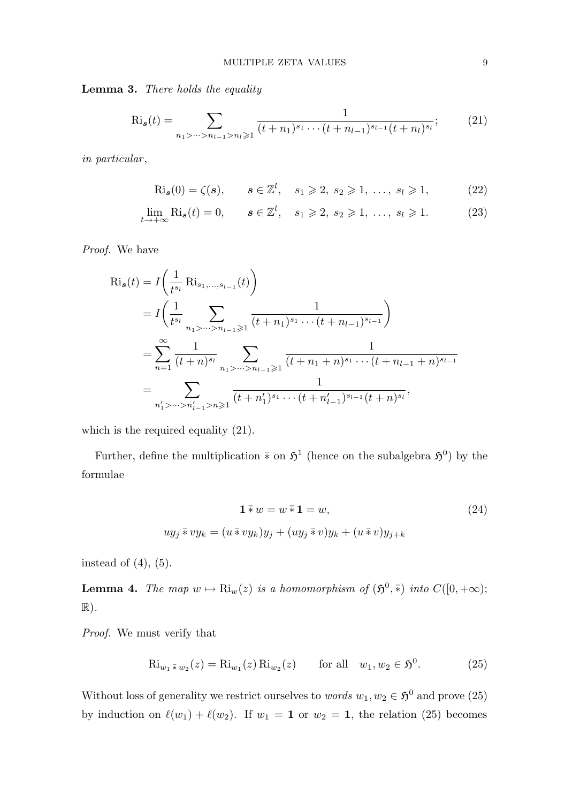Lemma 3. There holds the equality

$$
\text{Ri}_{s}(t) = \sum_{n_{1} > \dots > n_{l-1} > n_{l} \geqslant 1} \frac{1}{(t+n_{1})^{s_{1}} \cdots (t+n_{l-1})^{s_{l-1}} (t+n_{l})^{s_{l}}};\tag{21}
$$

in particular,

$$
\text{Ri}_{s}(0) = \zeta(s), \qquad s \in \mathbb{Z}^{l}, \quad s_{1} \geq 2, \ s_{2} \geq 1, \ \ldots, \ s_{l} \geq 1, \tag{22}
$$

$$
\lim_{t \to +\infty} \text{Ri}_{s}(t) = 0, \qquad s \in \mathbb{Z}^{l}, \quad s_{1} \geqslant 2, \ s_{2} \geqslant 1, \ \ldots, \ s_{l} \geqslant 1. \tag{23}
$$

Proof. We have

$$
Ri_s(t) = I\left(\frac{1}{t^{s_l}} Ri_{s_1,\dots,s_{l-1}}(t)\right)
$$
  
=  $I\left(\frac{1}{t^{s_l}} \sum_{n_1 > \dots > n_{l-1} \ge 1} \frac{1}{(t+n_1)^{s_1} \cdots (t+n_{l-1})^{s_{l-1}}}\right)$   
=  $\sum_{n=1}^{\infty} \frac{1}{(t+n)^{s_l}} \sum_{n_1 > \dots > n_{l-1} \ge 1} \frac{1}{(t+n_1+n)^{s_1} \cdots (t+n_{l-1}+n)^{s_{l-1}}}$   
=  $\sum_{n'_1 > \dots > n'_{l-1} > n \ge 1} \frac{1}{(t+n'_1)^{s_1} \cdots (t+n'_{l-1})^{s_{l-1}}(t+n)^{s_l}},$ 

which is the required equality (21).

Further, define the multiplication  $\bar{*}$  on  $\mathfrak{H}^1$  (hence on the subalgebra  $\mathfrak{H}^0$ ) by the formulae

$$
\mathbf{1} \overline{\ast} w = w \overline{\ast} \mathbf{1} = w,
$$
  

$$
uy_j \overline{\ast} vy_k = (u \overline{\ast} vy_k)y_j + (uy_j \overline{\ast} v)y_k + (u \overline{\ast} v)y_{j+k}
$$
 (24)

instead of  $(4)$ ,  $(5)$ .

**Lemma 4.** The map  $w \mapsto Ri_w(z)$  is a homomorphism of  $(\mathfrak{H}^0, \overline{\ast})$  into  $C([0, +\infty);$  $\mathbb{R}$ ).

Proof. We must verify that

$$
\text{Ri}_{w_1 \bar * w_2}(z) = \text{Ri}_{w_1}(z) \text{Ri}_{w_2}(z) \qquad \text{for all} \quad w_1, w_2 \in \mathfrak{H}^0. \tag{25}
$$

Without loss of generality we restrict ourselves to *words*  $w_1, w_2 \in \mathfrak{H}^0$  and prove (25) by induction on  $\ell(w_1) + \ell(w_2)$ . If  $w_1 = 1$  or  $w_2 = 1$ , the relation (25) becomes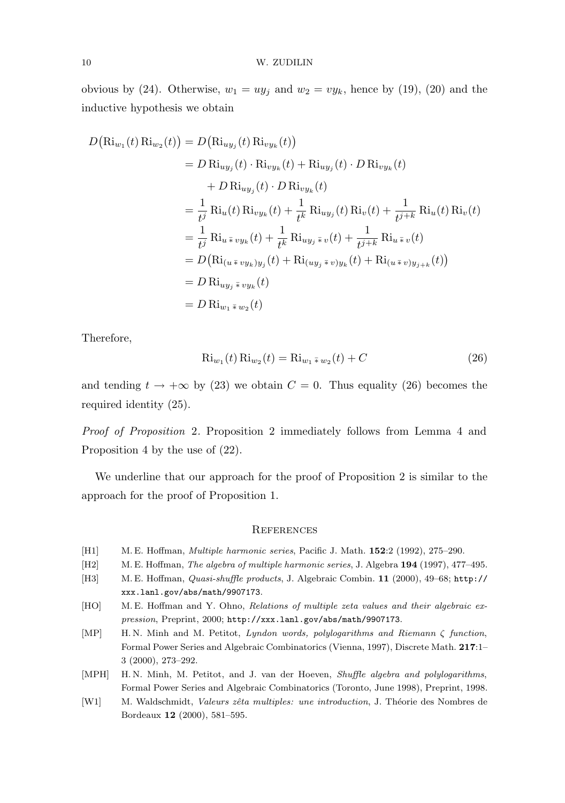obvious by (24). Otherwise,  $w_1 = uy_j$  and  $w_2 = vy_k$ , hence by (19), (20) and the inductive hypothesis we obtain

$$
D(\text{Ri}_{w_1}(t) \text{Ri}_{w_2}(t)) = D(\text{Ri}_{uy_j}(t) \text{Ri}_{vy_k}(t))
$$
  
\n
$$
= D \text{Ri}_{uy_j}(t) \cdot \text{Ri}_{vy_k}(t) + \text{Ri}_{uy_j}(t) \cdot D \text{Ri}_{vy_k}(t)
$$
  
\n
$$
+ D \text{Ri}_{uy_j}(t) \cdot D \text{Ri}_{vy_k}(t)
$$
  
\n
$$
= \frac{1}{t^j} \text{Ri}_u(t) \text{Ri}_{vy_k}(t) + \frac{1}{t^k} \text{Ri}_{uy_j}(t) \text{Ri}_v(t) + \frac{1}{t^{j+k}} \text{Ri}_u(t) \text{Ri}_v(t)
$$
  
\n
$$
= \frac{1}{t^j} \text{Ri}_{u \bar{\ast} vy_k}(t) + \frac{1}{t^k} \text{Ri}_{uy_j \bar{\ast} v}(t) + \frac{1}{t^{j+k}} \text{Ri}_{u \bar{\ast} v}(t)
$$
  
\n
$$
= D(\text{Ri}_{(u \bar{\ast} vy_k)y_j}(t) + \text{Ri}_{(uy_j \bar{\ast} v)y_k}(t) + \text{Ri}_{(u \bar{\ast} v)y_{j+k}}(t))
$$
  
\n
$$
= D \text{Ri}_{uy_j \bar{\ast} vy_k}(t)
$$
  
\n
$$
= D \text{Ri}_{w_1 \bar{\ast} w_2}(t)
$$

Therefore,

$$
Ri_{w_1}(t) Ri_{w_2}(t) = Ri_{w_1 \bar{*} w_2}(t) + C
$$
\n(26)

and tending  $t \to +\infty$  by (23) we obtain  $C = 0$ . Thus equality (26) becomes the required identity (25).

Proof of Proposition 2. Proposition 2 immediately follows from Lemma 4 and Proposition 4 by the use of (22).

We underline that our approach for the proof of Proposition 2 is similar to the approach for the proof of Proposition 1.

## **REFERENCES**

- [H1] M. E. Hoffman, Multiple harmonic series, Pacific J. Math. 152:2 (1992), 275–290.
- [H2] M. E. Hoffman, *The algebra of multiple harmonic series*, J. Algebra 194 (1997), 477–495.
- [H3] M. E. Hoffman, Quasi-shuffle products, J. Algebraic Combin. 11 (2000), 49–68; http:// xxx.lanl.gov/abs/math/9907173.
- [HO] M. E. Hoffman and Y. Ohno, Relations of multiple zeta values and their algebraic expression, Preprint, 2000; http://xxx.lanl.gov/abs/math/9907173.
- [MP] H. N. Minh and M. Petitot, Lyndon words, polylogarithms and Riemann ζ function, Formal Power Series and Algebraic Combinatorics (Vienna, 1997), Discrete Math. 217:1– 3 (2000), 273–292.
- [MPH] H.N. Minh, M. Petitot, and J. van der Hoeven, Shuffle algebra and polylogarithms, Formal Power Series and Algebraic Combinatorics (Toronto, June 1998), Preprint, 1998.
- [W1] M. Waldschmidt, *Valeurs zêta multiples: une introduction*, J. Théorie des Nombres de Bordeaux 12 (2000), 581–595.